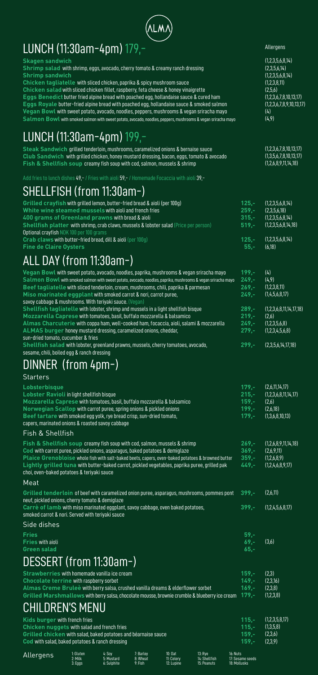|                                                                                                                                                                                                                                                                                                                                                                                                                                                                                                                                                                                                                                                                                                           |                                 |                                       |                                  | <b>YLWY</b>                         |                                         |                                              |                                                                                                                                                                        |
|-----------------------------------------------------------------------------------------------------------------------------------------------------------------------------------------------------------------------------------------------------------------------------------------------------------------------------------------------------------------------------------------------------------------------------------------------------------------------------------------------------------------------------------------------------------------------------------------------------------------------------------------------------------------------------------------------------------|---------------------------------|---------------------------------------|----------------------------------|-------------------------------------|-----------------------------------------|----------------------------------------------|------------------------------------------------------------------------------------------------------------------------------------------------------------------------|
| LUNCH (11:30am-4pm) 179,-                                                                                                                                                                                                                                                                                                                                                                                                                                                                                                                                                                                                                                                                                 |                                 |                                       |                                  |                                     |                                         |                                              | Allergens                                                                                                                                                              |
| <b>Skagen sandwich</b><br>Shrimp salad with shrimp, eggs, avocado, cherry tomato & creamy ranch dressing<br><b>Shrimp sandwich</b><br>Chicken tagliatelle with sliced chicken, paprika & spicy mushroom sauce<br>Chicken salad with sliced chicken fillet, raspberry, feta cheese & honey vinaigrette<br>Eggs Benedict butter fried alpine bread with poached egg, hollandaise sauce & cured ham<br>Eggs Royale butter-fried alpine bread with poached egg, hollandaise sauce & smoked salmon<br>Vegan Bowl with sweet potato, avocado, noodles, peppers, mushrooms & vegan sriracha mayo<br>Salmon Bowl with smoked salmon with sweet potato, avocado, noodles, peppers, mushrooms & vegan sriracha mayo |                                 |                                       |                                  |                                     |                                         |                                              | (1,2,3,5,6,8,14)<br>(2,3,5,6,14)<br>(1,2,3,5,6,8,14)<br>(1,2,3,8,11)<br>(2,5,6)<br>(1, 2, 3, 6, 7, 8, 10, 13, 17)<br>(1, 2, 3, 6, 7, 8, 9, 10, 13, 17)<br>(4)<br>(4,9) |
| LUNCH (11:30am-4pm) 199,-                                                                                                                                                                                                                                                                                                                                                                                                                                                                                                                                                                                                                                                                                 |                                 |                                       |                                  |                                     |                                         |                                              |                                                                                                                                                                        |
| Steak Sandwich grilled tenderloin, mushrooms, caramelized onions & bernaise sauce<br>Club Sandwich with grilled chicken, honey mustard dressing, bacon, eggs, tomato & avocado<br>Fish & Shellfish soup creamy fish soup with cod, salmon, mussels & shrimp                                                                                                                                                                                                                                                                                                                                                                                                                                               |                                 |                                       |                                  |                                     |                                         |                                              | (1,2,3,6,7,8,10,13,17)<br>(1,3,5,6,7,8,10,13,17)<br>(1,2,6,8,9,11,14,18)                                                                                               |
| Add fries to lunch dishes 49,- / Fries with aioli 59,- / Homemade Focaccia with aioli 39,-<br>SHELLFISH (from 11:30am-)                                                                                                                                                                                                                                                                                                                                                                                                                                                                                                                                                                                   |                                 |                                       |                                  |                                     |                                         |                                              |                                                                                                                                                                        |
|                                                                                                                                                                                                                                                                                                                                                                                                                                                                                                                                                                                                                                                                                                           |                                 |                                       |                                  |                                     |                                         |                                              |                                                                                                                                                                        |
| Grilled crayfish with grilled lemon, butter-fried bread & aioli (per 100g)<br>White wine steamed mussels with aioli and french fries<br>400 grams of Greenland prawns with bread & aioli<br>Shellfish platter with shrimp, crab claws, mussels & lobster salad (Price per person)<br>Optional crayfish NOK 100 per 100 grams                                                                                                                                                                                                                                                                                                                                                                              |                                 |                                       |                                  |                                     |                                         | $125 -$<br>$259 -$<br>$315 -$<br>$519,-$     | (1,2,3,5,6,8,14)<br>(2,3,5,6,18)<br>(1,2,3,5,6,8,14)<br>(1,2,3,5,6,8,14,18)                                                                                            |
| <b>Crab claws with butter-fried bread, dill &amp; aioli (per 100g)</b><br><b>Fine de Claire Oysters</b>                                                                                                                                                                                                                                                                                                                                                                                                                                                                                                                                                                                                   |                                 |                                       |                                  |                                     |                                         | $125 -$<br>$55 -$                            | (1,2,3,5,6,8,14)<br>(6, 18)                                                                                                                                            |
| ALL DAY (from 11:30am-)                                                                                                                                                                                                                                                                                                                                                                                                                                                                                                                                                                                                                                                                                   |                                 |                                       |                                  |                                     |                                         |                                              |                                                                                                                                                                        |
| Vegan Bowl with sweet potato, avocado, noodles, paprika, mushrooms & vegan sriracha mayo<br>Salmon Bowl with smoked salmon with sweet potato, avocado, noodles, paprika, mushrooms & vegan sriracha mayo<br>Beef tagliatelle with sliced tenderloin, cream, mushrooms, chili, paprika & parmesan<br>Miso marinated eggplant with smoked carrot & nori, carrot puree,                                                                                                                                                                                                                                                                                                                                      |                                 |                                       |                                  |                                     |                                         | $199 -$<br>$249 -$<br>$269 -$<br>$249 -$     | (4)<br>(4, 9)<br>(1,2,3,8,11)<br>(1,4,5,6,8,17)                                                                                                                        |
| savoy cabbage & mushrooms. With teriyaki sauce. (Vegan)<br>Shellfish tagliatelle with lobster, shrimp and mussels in a light shellfish bisque<br>Mozzarella Caprese with tomatoes, basil, buffalo mozzarella & balsamico                                                                                                                                                                                                                                                                                                                                                                                                                                                                                  |                                 |                                       |                                  |                                     |                                         | $289 -$<br>$219 -$                           | (1,2,3,6,8,11,14,17,18)<br>(2,6)                                                                                                                                       |
| Almas Charcuterie with coppa ham, well-cooked ham, focaccia, aioli, salami & mozzarella<br>ALMAS burger honey mustard dressing, caramelized onions, cheddar,<br>sun-dried tomato, cucumber & fries                                                                                                                                                                                                                                                                                                                                                                                                                                                                                                        |                                 |                                       |                                  |                                     |                                         | $249 -$<br>$279 -$                           | (1,2,3,5,6,8)<br>(1,2,3,4,5,6,8)                                                                                                                                       |
| Shellfish salad with lobster, greenland prawns, mussels, cherry tomatoes, avocado,<br>sesame, chili, boiled egg & ranch dressing                                                                                                                                                                                                                                                                                                                                                                                                                                                                                                                                                                          |                                 |                                       |                                  |                                     |                                         | $299 -$                                      | (2,3,5,6,14,17,18)                                                                                                                                                     |
| DINNER (from 4pm-)                                                                                                                                                                                                                                                                                                                                                                                                                                                                                                                                                                                                                                                                                        |                                 |                                       |                                  |                                     |                                         |                                              |                                                                                                                                                                        |
| <b>Starters</b>                                                                                                                                                                                                                                                                                                                                                                                                                                                                                                                                                                                                                                                                                           |                                 |                                       |                                  |                                     |                                         |                                              |                                                                                                                                                                        |
| Lobsterbisque<br>Lobster Ravioli in light shellfish bisque                                                                                                                                                                                                                                                                                                                                                                                                                                                                                                                                                                                                                                                |                                 |                                       |                                  |                                     |                                         | $179 -$<br>$215,-$                           | (2,6,11,14,17)<br>(1,2,3,6,8,11,14,17)                                                                                                                                 |
| Mozzarella Caprese with tomatoes, basil, buffalo mozzarella & balsamico                                                                                                                                                                                                                                                                                                                                                                                                                                                                                                                                                                                                                                   |                                 |                                       |                                  |                                     |                                         | $159 -$                                      | (2,6)                                                                                                                                                                  |
| Norwegian Scallop with carrot puree, spring onions & pickled onions<br>Beef tartare with smoked egg yolk, rye bread crisp, sun-dried tomato,<br>capers, marinated onions & roasted savoy cabbage                                                                                                                                                                                                                                                                                                                                                                                                                                                                                                          |                                 |                                       |                                  |                                     |                                         | $199 -$<br>$179 -$                           | (2,6,18)<br>(1,3,6,8,10,13)                                                                                                                                            |
| Fish & Shellfish                                                                                                                                                                                                                                                                                                                                                                                                                                                                                                                                                                                                                                                                                          |                                 |                                       |                                  |                                     |                                         |                                              |                                                                                                                                                                        |
| Fish & Shellfish soup creamy fish soup with cod, salmon, mussels & shrimp<br>Cod with carrot puree, pickled onions, asparagus, baked potatoes & demiglaze                                                                                                                                                                                                                                                                                                                                                                                                                                                                                                                                                 |                                 |                                       |                                  |                                     |                                         | $269 -$<br>$369 -$                           | (1,2,6,8,9,11,14,18)<br>(2,6,9,11)                                                                                                                                     |
| Plaice Grenobloise whole fish with salt-baked beets, capers, oven-baked potatoes & browned butter                                                                                                                                                                                                                                                                                                                                                                                                                                                                                                                                                                                                         |                                 |                                       |                                  |                                     |                                         | $359 -$                                      | (1,2,6,8,9)                                                                                                                                                            |
| Lightly grilled tuna with butter-baked carrot, pickled vegetables, paprika puree, grilled pak<br>choi, oven-baked potatoes & teriyaki sauce                                                                                                                                                                                                                                                                                                                                                                                                                                                                                                                                                               |                                 |                                       |                                  |                                     |                                         | $449 -$                                      | (1,2,4,6,8,9,17)                                                                                                                                                       |
| Meat<br>Grilled tenderloin of beef with caramelized onion puree, asparagus, mushrooms, pommes pont                                                                                                                                                                                                                                                                                                                                                                                                                                                                                                                                                                                                        |                                 |                                       |                                  |                                     |                                         | $399 -$                                      | (2,6,11)                                                                                                                                                               |
| neuf, pickled onions, cherry tomato & demiglaze<br>Carrè of lamb with miso marinated eggplant, savoy cabbage, oven baked potatoes,<br>smoked carrot & nori. Served with teriyaki sauce                                                                                                                                                                                                                                                                                                                                                                                                                                                                                                                    |                                 |                                       |                                  |                                     |                                         | $399 -$                                      | (1,2,4,5,6,8,17)                                                                                                                                                       |
| Side dishes                                                                                                                                                                                                                                                                                                                                                                                                                                                                                                                                                                                                                                                                                               |                                 |                                       |                                  |                                     |                                         |                                              |                                                                                                                                                                        |
| <b>Fries</b><br><b>Fries with aioli</b><br><b>Green salad</b>                                                                                                                                                                                                                                                                                                                                                                                                                                                                                                                                                                                                                                             |                                 |                                       |                                  |                                     |                                         | $59 -$<br>$69 -$<br>$65 -$                   | (3,6)                                                                                                                                                                  |
| DESSERT (from 11:30am-)                                                                                                                                                                                                                                                                                                                                                                                                                                                                                                                                                                                                                                                                                   |                                 |                                       |                                  |                                     |                                         |                                              |                                                                                                                                                                        |
| <b>Strawberries with homemade vanilla ice cream</b>                                                                                                                                                                                                                                                                                                                                                                                                                                                                                                                                                                                                                                                       |                                 |                                       |                                  |                                     |                                         | $159 -$                                      | (2,3)                                                                                                                                                                  |
| Chocolate terrine with raspberry sorbet                                                                                                                                                                                                                                                                                                                                                                                                                                                                                                                                                                                                                                                                   |                                 |                                       |                                  |                                     |                                         | $149 -$                                      | (2,3,16)                                                                                                                                                               |
| Almas Creme Brulee with berry salsa, crushed vanilla dreams & elderflower sorbet<br>Grilled Marshmallows with berry salsa, chocolate mousse, brownie crumble & blueberry ice cream<br><b>CHILDREN'S MENU</b>                                                                                                                                                                                                                                                                                                                                                                                                                                                                                              |                                 |                                       |                                  |                                     |                                         | $169 -$<br>$179 -$                           | (2,3,8)<br>(1,2,3,8)                                                                                                                                                   |
| Kids burger with french fries                                                                                                                                                                                                                                                                                                                                                                                                                                                                                                                                                                                                                                                                             |                                 |                                       |                                  |                                     |                                         | $115,-$                                      | (1,2,3,5,8,17)                                                                                                                                                         |
| <b>Chicken nuggets with salad and french fries</b>                                                                                                                                                                                                                                                                                                                                                                                                                                                                                                                                                                                                                                                        |                                 |                                       |                                  |                                     |                                         | $115 -$                                      | (1,3,5,8)                                                                                                                                                              |
| Grilled chicken with salad, baked potatoes and béarnaise sauce<br>Cod with salad, baked potatoes & ranch dressing                                                                                                                                                                                                                                                                                                                                                                                                                                                                                                                                                                                         |                                 |                                       |                                  |                                     |                                         | $159 -$<br>$159 -$                           | (2,3,6)<br>(2,3,9)                                                                                                                                                     |
| Allergens                                                                                                                                                                                                                                                                                                                                                                                                                                                                                                                                                                                                                                                                                                 | 1: Gluten<br>2: Milk<br>3: Eggs | $4:$ Soy<br>5: Mustard<br>6: Sulphite | 7: Barley<br>8: Wheat<br>9: Fish | 10: Oat<br>11: Celery<br>12: Lupine | 13: Rye<br>14: Shellfish<br>15: Peanuts | 16: Nuts<br>17: Sesame seeds<br>18: Mollusks |                                                                                                                                                                        |